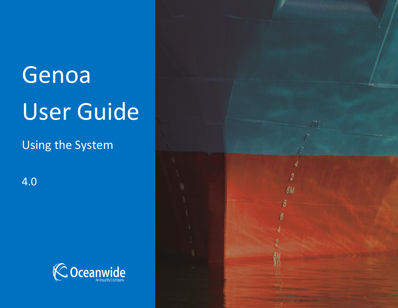# Genoa User Guide

Using the System

4.0



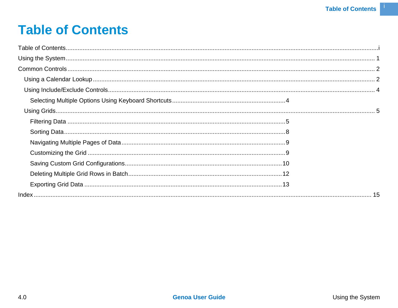# <span id="page-1-0"></span>**Table of Contents**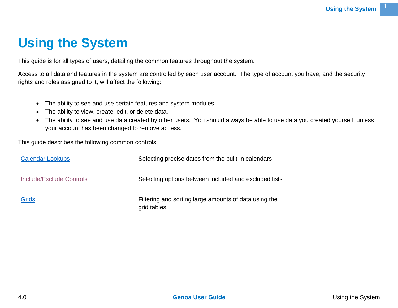# <span id="page-2-0"></span>**Using the System**

This guide is for all types of users, detailing the common features throughout the system.

Access to all data and features in the system are controlled by each user account. The type of account you have, and the security rights and roles assigned to it, will affect the following:

- The ability to see and use certain features and system modules
- The ability to view, create, edit, or delete data.
- The ability to see and use data created by other users. You should always be able to use data you created yourself, unless your account has been changed to remove access.

This guide describes the following common controls:

| <b>Calendar Lookups</b>         | Selecting precise dates from the built-in calendars                  |
|---------------------------------|----------------------------------------------------------------------|
| <b>Include/Exclude Controls</b> | Selecting options between included and excluded lists                |
| <b>Grids</b>                    | Filtering and sorting large amounts of data using the<br>grid tables |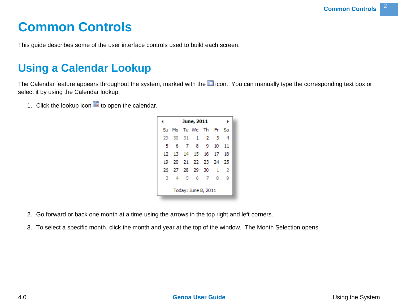# <span id="page-3-0"></span>**Common Controls**

This guide describes some of the user interface controls used to build each screen.

# <span id="page-3-1"></span>**Using a Calendar Lookup**

The Calendar feature appears throughout the system, marked with the ideon. You can manually type the corresponding text box or select it by using the Calendar lookup.

1. Click the lookup icon  $\overline{11}$  to open the calendar.

| ∢    |     | June, 2011             |                  | Þ   |
|------|-----|------------------------|------------------|-----|
|      |     | Su Mo Tu We The Fri Sa |                  |     |
| 29.  |     | 30 31 1 2 3            |                  | - 4 |
| 5    | - 6 | 7 8 9                  | 10 <sup>10</sup> | 11  |
| 12   |     | 13 14 15 16 17         |                  | 18  |
| 19 - |     | 20 21 22 23 24 25      |                  |     |
|      |     | 26 27 28 29 30 1       |                  | - 2 |
| з    |     | 4 5 6 7                | 8                | -9  |
|      |     | Today: June 8, 2011    |                  |     |

- 2. Go forward or back one month at a time using the arrows in the top right and left corners.
- 3. To select a specific month, click the month and year at the top of the window. The Month Selection opens.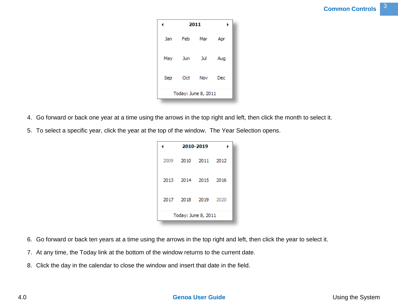|     | 2011 |                     |     |  |  |
|-----|------|---------------------|-----|--|--|
| Jan | Feb  | Mar                 | Apr |  |  |
| May | Jun  | Jul                 | Aug |  |  |
| Sep |      | Oct Nov             | Dec |  |  |
|     |      | Today: June 8, 2011 |     |  |  |

- 4. Go forward or back one year at a time using the arrows in the top right and left, then click the month to select it.
- 5. To select a specific year, click the year at the top of the window. The Year Selection opens.

|                     | 2010-2019 |  |
|---------------------|-----------|--|
| 2009 2010 2011 2012 |           |  |
| 2013 2014 2015 2016 |           |  |
| 2017 2018 2019 2020 |           |  |
| Today: June 8, 2011 |           |  |

- 6. Go forward or back ten years at a time using the arrows in the top right and left, then click the year to select it.
- 7. At any time, the Today link at the bottom of the window returns to the current date.
- 8. Click the day in the calendar to close the window and insert that date in the field.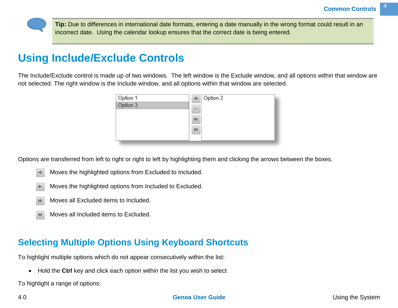**Tip:** Due to differences in international date formats, entering a date manually in the wrong format could result in an incorrect date. Using the calendar lookup ensures that the correct date is being entered.

# <span id="page-5-0"></span>**Using Include/Exclude Controls**

The Include/Exclude control is made up of two windows. The left window is the Exclude window, and all options within that window are not selected. The right window is the Include window, and all options within that window are selected.



Options are transferred from left to right or right to left by highlighting them and clicking the arrows between the boxes.

- Moves the highlighted options from Excluded to Included.  $\Rightarrow$
- Moves the highlighted options from Included to Excluded.  $\leftarrow$
- Moves all Excluded items to Included.  $\n *W*\n$
- Moves all Included items to Excluded.  $\blacktriangleleft$

# <span id="page-5-1"></span>**Selecting Multiple Options Using Keyboard Shortcuts**

To highlight multiple options which do not appear consecutively within the list:

Hold the **Ctrl** key and click each option within the list you wish to select

To highlight a range of options: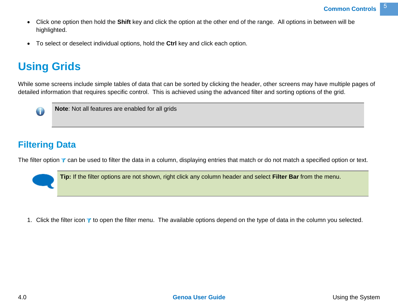- Click one option then hold the **Shift** key and click the option at the other end of the range. All options in between will be highlighted.
- To select or deselect individual options, hold the **Ctrl** key and click each option.

# <span id="page-6-0"></span>**Using Grids**

While some screens include simple tables of data that can be sorted by clicking the header, other screens may have multiple pages of detailed information that requires specific control. This is achieved using the advanced filter and sorting options of the grid.



**Note**: Not all features are enabled for all grids

## <span id="page-6-1"></span>**Filtering Data**

The filter option  $\blacktriangledown$  can be used to filter the data in a column, displaying entries that match or do not match a specified option or text.

**Tip:** If the filter options are not shown, right click any column header and select **Filter Bar** from the menu.

1. Click the filter icon  $\tau$  to open the filter menu. The available options depend on the type of data in the column you selected.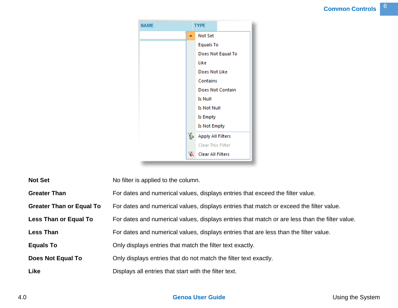

**Not Set** No filter is applied to the column.

**Greater Than** For dates and numerical values, displays entries that exceed the filter value.

**Greater Than or Equal To** For dates and numerical values, displays entries that match or exceed the filter value.

Less Than or Equal To For dates and numerical values, displays entries that match or are less than the filter value.

Less Than For dates and numerical values, displays entries that are less than the filter value.

**Equals To** Only displays entries that match the filter text exactly.

**Does Not Equal To** Only displays entries that do not match the filter text exactly.

**Like** Displays all entries that start with the filter text.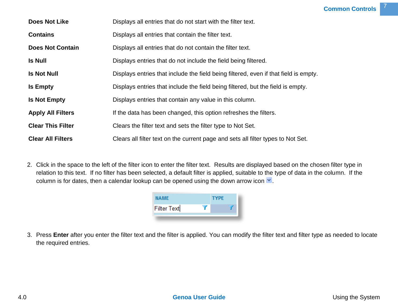| <b>Does Not Like</b>     | Displays all entries that do not start with the filter text.                         |
|--------------------------|--------------------------------------------------------------------------------------|
| <b>Contains</b>          | Displays all entries that contain the filter text.                                   |
| <b>Does Not Contain</b>  | Displays all entries that do not contain the filter text.                            |
| <b>Is Null</b>           | Displays entries that do not include the field being filtered.                       |
| <b>Is Not Null</b>       | Displays entries that include the field being filtered, even if that field is empty. |
| <b>Is Empty</b>          | Displays entries that include the field being filtered, but the field is empty.      |
| <b>Is Not Empty</b>      | Displays entries that contain any value in this column.                              |
| <b>Apply All Filters</b> | If the data has been changed, this option refreshes the filters.                     |
| <b>Clear This Filter</b> | Clears the filter text and sets the filter type to Not Set.                          |
| <b>Clear All Filters</b> | Clears all filter text on the current page and sets all filter types to Not Set.     |

2. Click in the space to the left of the filter icon to enter the filter text. Results are displayed based on the chosen filter type in relation to this text. If no filter has been selected, a default filter is applied, suitable to the type of data in the column. If the column is for dates, then a calendar lookup can be opened using the down arrow icon  $\vee$ .

| NAME.              | <b>TYPE</b> |  |
|--------------------|-------------|--|
| <b>Filter Text</b> |             |  |
|                    |             |  |

3. Press **Enter** after you enter the filter text and the filter is applied. You can modify the filter text and filter type as needed to locate the required entries.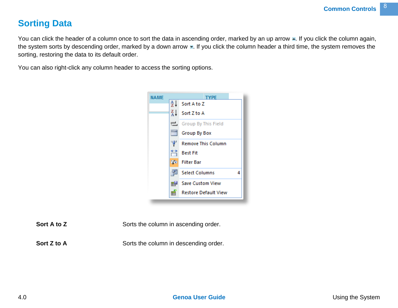## <span id="page-9-0"></span>**Sorting Data**

You can click the header of a column once to sort the data in ascending order, marked by an up arrow  $\blacksquare$ . If you click the column again, the system sorts by descending order, marked by a down arrow . If you click the column header a third time, the system removes the sorting, restoring the data to its default order.

You can also right-click any column header to access the sorting options.



**Sort A to Z** Sorts the column in ascending order.

**Sort Z to A** Sorts the column in descending order.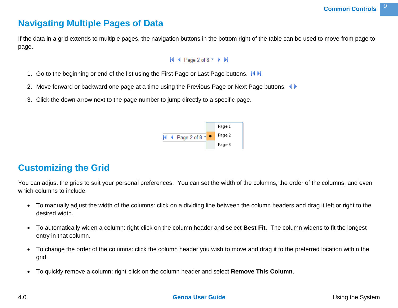## <span id="page-10-0"></span>**Navigating Multiple Pages of Data**

If the data in a grid extends to multiple pages, the navigation buttons in the bottom right of the table can be used to move from page to page.

#### $\blacktriangleright$  4 Page 2 of 8  $\blacktriangleright$   $\blacktriangleright$

- 1. Go to the beginning or end of the list using the First Page or Last Page buttons.  $\blacksquare$
- 2. Move forward or backward one page at a time using the Previous Page or Next Page buttons.
- 3. Click the down arrow next to the page number to jump directly to a specific page.



# <span id="page-10-1"></span>**Customizing the Grid**

You can adjust the grids to suit your personal preferences. You can set the width of the columns, the order of the columns, and even which columns to include.

- To manually adjust the width of the columns: click on a dividing line between the column headers and drag it left or right to the desired width.
- To automatically widen a column: right-click on the column header and select **Best Fit**. The column widens to fit the longest entry in that column.
- To change the order of the columns: click the column header you wish to move and drag it to the preferred location within the grid.
- To quickly remove a column: right-click on the column header and select **Remove This Column**.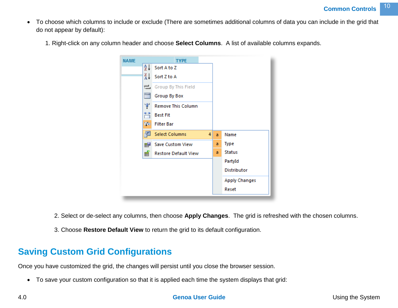- To choose which columns to include or exclude (There are sometimes additional columns of data you can include in the grid that do not appear by default):
	- 1. Right-click on any column header and choose **Select Columns**. A list of available columns expands.



- 2. Select or de-select any columns, then choose **Apply Changes**. The grid is refreshed with the chosen columns.
- 3. Choose **Restore Default View** to return the grid to its default configuration.

## <span id="page-11-0"></span>**Saving Custom Grid Configurations**

Once you have customized the grid, the changes will persist until you close the browser session.

To save your custom configuration so that it is applied each time the system displays that grid:

#### 4.0 **Genoa User Guide** Using the System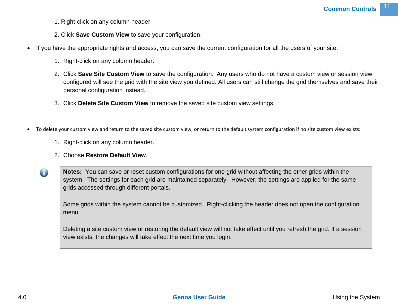- 1. Right-click on any column header
- 2. Click **Save Custom View** to save your configuration.
- If you have the appropriate rights and access, you can save the current configuration for all the users of your site:
	- 1. Right-click on any column header.
	- 2. Click **Save Site Custom View** to save the configuration. Any users who do not have a custom view or session view configured will see the grid with the site view you defined. All users can still change the grid themselves and save their personal configuration instead.
	- 3. Click **Delete Site Custom View** to remove the saved site custom view settings.
- To delete your custom view and return to the saved site custom view, or return to the default system configuration if no site custom view exists:
	- 1. Right-click on any column header.
	- 2. Choose **Restore Default View**.
	- **Notes:** You can save or reset custom configurations for one grid without affecting the other grids within the system. The settings for each grid are maintained separately. However, the settings are applied for the same grids accessed through different portals.

Some grids within the system cannot be customized. Right-clicking the header does not open the configuration menu.

Deleting a site custom view or restoring the default view will not take effect until you refresh the grid. If a session view exists, the changes will take effect the next time you login.

 $\bigcirc$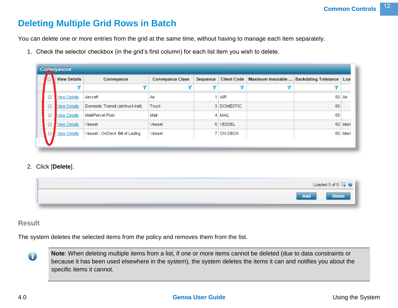## <span id="page-13-0"></span>**Deleting Multiple Grid Rows in Batch**

You can delete one or more entries from the grid at the same time, without having to manage each item separately.

1. Check the selector checkbox (in the grid's first column) for each list item you wish to delete.

| <b>Conveyances</b> |   |                     |                                   |                         |          |             |                                         |         |
|--------------------|---|---------------------|-----------------------------------|-------------------------|----------|-------------|-----------------------------------------|---------|
|                    |   | <b>View Details</b> | Conveyance                        | <b>Conveyance Class</b> | Sequence | Client Code | Maximum Insurable  Backdating Tolerance | Loa     |
|                    |   |                     |                                   |                         |          |             |                                         |         |
|                    | O | <b>View Details</b> | Aircraft                          | Air                     |          | $1$ AIR     | 60                                      | Air     |
|                    | O | <b>View Details</b> | Domestic Transit (air/truck/rail) | Truck                   |          | 3 DOMESTIC  | 60                                      |         |
|                    |   | <b>View Details</b> | Mail/Parcel Post                  | Mail                    |          | 4 MAIL      | 60                                      |         |
|                    |   | <b>View Details</b> | Vessel                            | Vessel                  |          | 6 VESSEL    | 60                                      | Mari    |
|                    |   | <b>Niew Details</b> | Vessel - OnDeck Bill of Lading    | Vessel                  |          | 7 ON DECK   |                                         | 60 Mari |
|                    |   |                     |                                   |                         |          |             |                                         |         |

#### 2. Click [**Delete**].



#### **Result**

The system deletes the selected items from the policy and removes them from the list.



**Note**: When deleting multiple items from a list, if one or more items cannot be deleted (due to data constraints or because it has been used elsewhere in the system), the system deletes the items it can and notifies you about the specific items it cannot.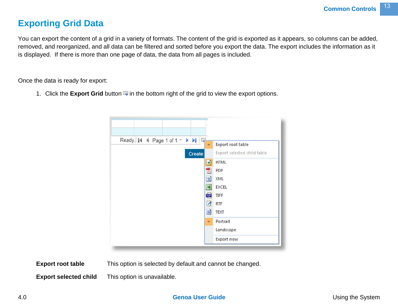## <span id="page-14-0"></span>**Exporting Grid Data**

You can export the content of a grid in a variety of formats. The content of the grid is exported as it appears, so columns can be added, removed, and reorganized, and all data can be filtered and sorted before you export the data. The export includes the information as it is displayed. If there is more than one page of data, the data from all pages is included.

Once the data is ready for export:

1. Click the **Export Grid** button  $\overline{=}$  in the bottom right of the grid to view the export options.



**Export root table** This option is selected by default and cannot be changed.

**Export selected child** This option is unavailable.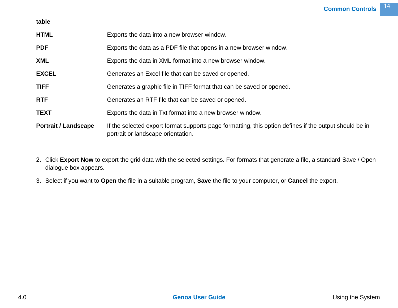| table                       |                                                                                                                                              |
|-----------------------------|----------------------------------------------------------------------------------------------------------------------------------------------|
| <b>HTML</b>                 | Exports the data into a new browser window.                                                                                                  |
| <b>PDF</b>                  | Exports the data as a PDF file that opens in a new browser window.                                                                           |
| <b>XML</b>                  | Exports the data in XML format into a new browser window.                                                                                    |
| <b>EXCEL</b>                | Generates an Excel file that can be saved or opened.                                                                                         |
| <b>TIFF</b>                 | Generates a graphic file in TIFF format that can be saved or opened.                                                                         |
| <b>RTF</b>                  | Generates an RTF file that can be saved or opened.                                                                                           |
| <b>TEXT</b>                 | Exports the data in Txt format into a new browser window.                                                                                    |
| <b>Portrait / Landscape</b> | If the selected export format supports page formatting, this option defines if the output should be in<br>portrait or landscape orientation. |

- 2. Click **Export Now** to export the grid data with the selected settings. For formats that generate a file, a standard Save / Open dialogue box appears.
- 3. Select if you want to **Open** the file in a suitable program, **Save** the file to your computer, or **Cancel** the export.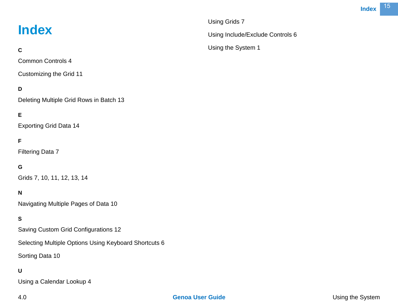# <span id="page-16-0"></span>**Index**

#### **C**

Common Controls 4

Customizing the Grid 11

#### **D**

Deleting Multiple Grid Rows in Batch 13

#### **E**

Exporting Grid Data 14

#### **F**

Filtering Data 7

#### **G**

Grids 7, 10, 11, 12, 13, 14

#### **N**

Navigating Multiple Pages of Data 10

#### **S**

Saving Custom Grid Configurations 12

Selecting Multiple Options Using Keyboard Shortcuts 6

Sorting Data 10

#### **U**

Using a Calendar Lookup 4

Using Grids 7

Using the System 1

Using Include/Exclude Controls 6